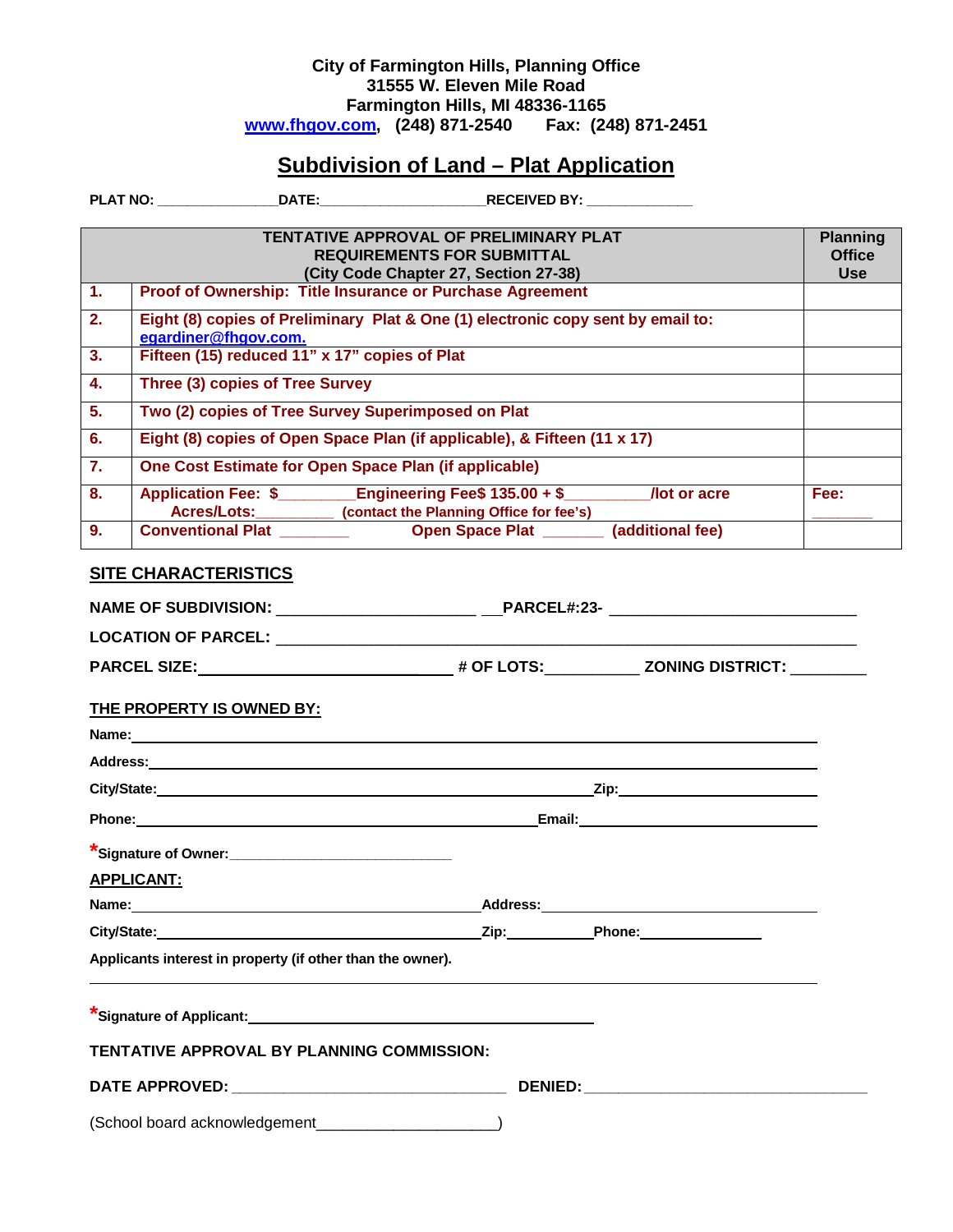## **City of Farmington Hills, Planning Office 31555 W. Eleven Mile Road Farmington Hills, MI 48336-1165 [www.fhgov.com,](http://www.fhgov.com/) (248) 871-2540 Fax: (248) 871-2451**

## **Subdivision of Land – Plat Application**

**PLAT NO: \_\_\_\_\_\_\_\_\_\_\_\_\_\_\_\_DATE:\_\_\_\_\_\_\_\_\_\_\_\_\_\_\_\_\_\_\_\_\_\_RECEIVED BY: \_\_\_\_\_\_\_\_\_\_\_\_\_\_**

| TENTATIVE APPROVAL OF PRELIMINARY PLAT<br><b>Planning</b>  |                                                                                                    |                             |  |  |
|------------------------------------------------------------|----------------------------------------------------------------------------------------------------|-----------------------------|--|--|
|                                                            | <b>REQUIREMENTS FOR SUBMITTAL</b>                                                                  | <b>Office</b><br><b>Use</b> |  |  |
| $\overline{1}$                                             | (City Code Chapter 27, Section 27-38)<br>Proof of Ownership: Title Insurance or Purchase Agreement |                             |  |  |
| $\overline{2}$ .                                           | Eight (8) copies of Preliminary Plat & One (1) electronic copy sent by email to:                   |                             |  |  |
|                                                            | egardiner@fhgov.com.                                                                               |                             |  |  |
| 3.                                                         | Fifteen (15) reduced 11" x 17" copies of Plat                                                      |                             |  |  |
| $\overline{4}$ .                                           | Three (3) copies of Tree Survey                                                                    |                             |  |  |
| 5.                                                         | Two (2) copies of Tree Survey Superimposed on Plat                                                 |                             |  |  |
| 6.                                                         | Eight (8) copies of Open Space Plan (if applicable), & Fifteen (11 x 17)                           |                             |  |  |
| $\overline{7}$ .                                           | One Cost Estimate for Open Space Plan (if applicable)                                              |                             |  |  |
| 8.                                                         | Application Fee: \$ Engineering Fee\$ 135.00 + \$ /lot or acre                                     | Fee:                        |  |  |
| 9.                                                         | Acres/Lots:___________ (contact the Planning Office for fee's)                                     |                             |  |  |
|                                                            |                                                                                                    |                             |  |  |
| <b>SITE CHARACTERISTICS</b>                                |                                                                                                    |                             |  |  |
|                                                            | NAME OF SUBDIVISION: ______________________ ___PARCEL#:23- _____________________                   |                             |  |  |
|                                                            |                                                                                                    |                             |  |  |
|                                                            |                                                                                                    |                             |  |  |
|                                                            | THE PROPERTY IS OWNED BY:                                                                          |                             |  |  |
|                                                            |                                                                                                    |                             |  |  |
|                                                            |                                                                                                    |                             |  |  |
|                                                            |                                                                                                    |                             |  |  |
|                                                            |                                                                                                    |                             |  |  |
|                                                            |                                                                                                    |                             |  |  |
| *Signature of Owner:_______________________________        |                                                                                                    |                             |  |  |
|                                                            | <b>APPLICANT:</b>                                                                                  |                             |  |  |
| Address: Andreas Address:                                  |                                                                                                    |                             |  |  |
| City/State:<br><b>Phone:</b>                               |                                                                                                    |                             |  |  |
| Applicants interest in property (if other than the owner). |                                                                                                    |                             |  |  |
|                                                            |                                                                                                    |                             |  |  |
|                                                            |                                                                                                    |                             |  |  |
|                                                            | TENTATIVE APPROVAL BY PLANNING COMMISSION:                                                         |                             |  |  |
|                                                            |                                                                                                    |                             |  |  |
| (School board acknowledgement                              |                                                                                                    |                             |  |  |